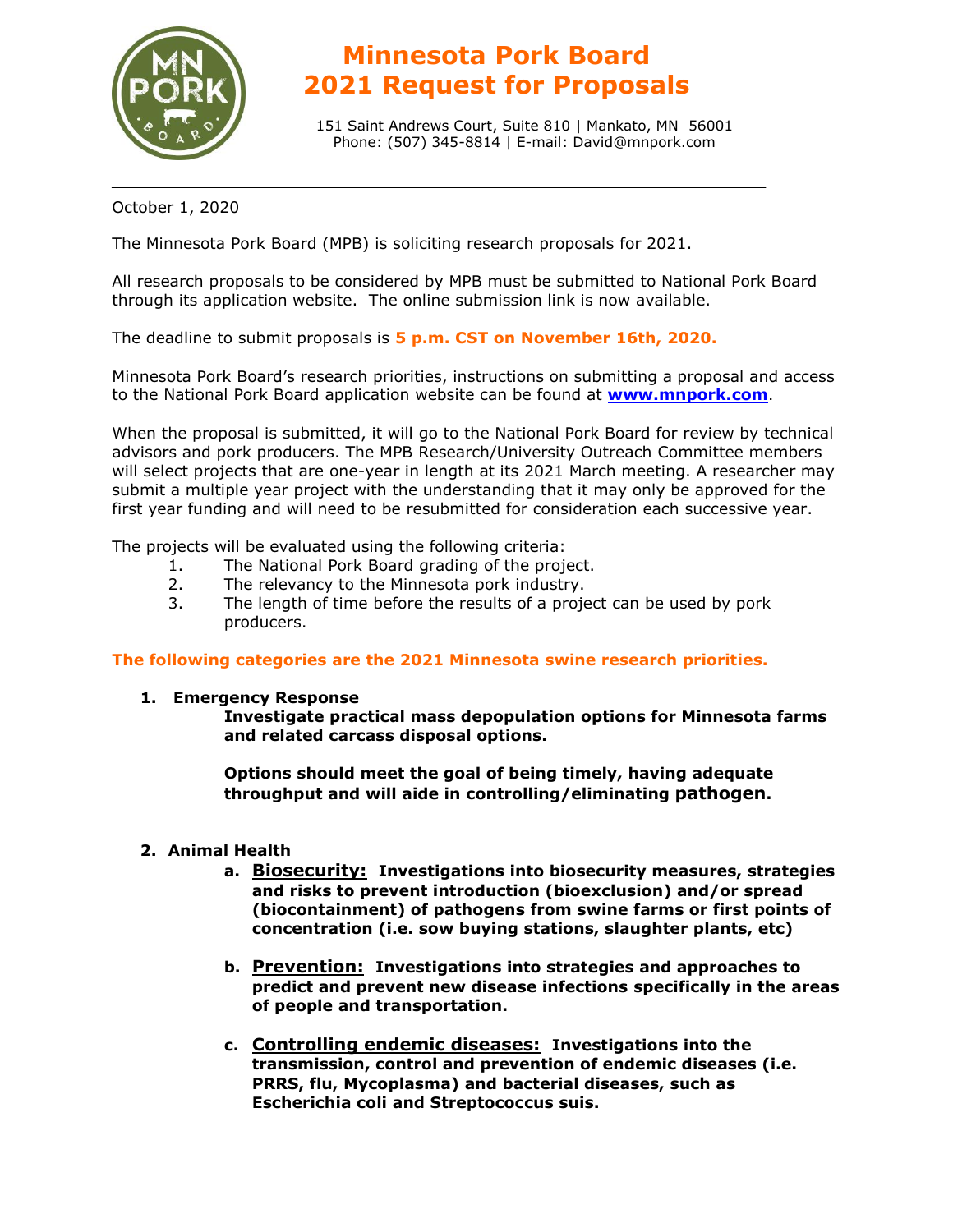

# **Minnesota Pork Board 2021 Request for Proposals**

151 Saint Andrews Court, Suite 810 | Mankato, MN 56001 Phone: (507) 345-8814 | E-mail: David@mnpork.com

October 1, 2020

The Minnesota Pork Board (MPB) is soliciting research proposals for 2021.

All research proposals to be considered by MPB must be submitted to National Pork Board through its application website. The online submission link is now available.

The deadline to submit proposals is **5 p.m. CST on November 16th, 2020.**

Minnesota Pork Board's research priorities, instructions on submitting a proposal and access to the National Pork Board application website can be found at **[www.mnpork.com](http://www.mnpork.com/)**.

When the proposal is submitted, it will go to the National Pork Board for review by technical advisors and pork producers. The MPB Research/University Outreach Committee members will select projects that are one-year in length at its 2021 March meeting. A researcher may submit a multiple year project with the understanding that it may only be approved for the first year funding and will need to be resubmitted for consideration each successive year.

The projects will be evaluated using the following criteria:

- 1. The National Pork Board grading of the project.
- 2. The relevancy to the Minnesota pork industry.
- 3. The length of time before the results of a project can be used by pork producers.

### **The following categories are the 2021 Minnesota swine research priorities.**

### **1. Emergency Response**

**Investigate practical mass depopulation options for Minnesota farms and related carcass disposal options.**

**Options should meet the goal of being timely, having adequate throughput and will aide in controlling/eliminating pathogen.**

### **2. Animal Health**

- **a. Biosecurity: Investigations into biosecurity measures, strategies and risks to prevent introduction (bioexclusion) and/or spread (biocontainment) of pathogens from swine farms or first points of concentration (i.e. sow buying stations, slaughter plants, etc)**
- **b. Prevention: Investigations into strategies and approaches to predict and prevent new disease infections specifically in the areas of people and transportation.**
- **c. Controlling endemic diseases: Investigations into the transmission, control and prevention of endemic diseases (i.e. PRRS, flu, Mycoplasma) and bacterial diseases, such as Escherichia coli and Streptococcus suis.**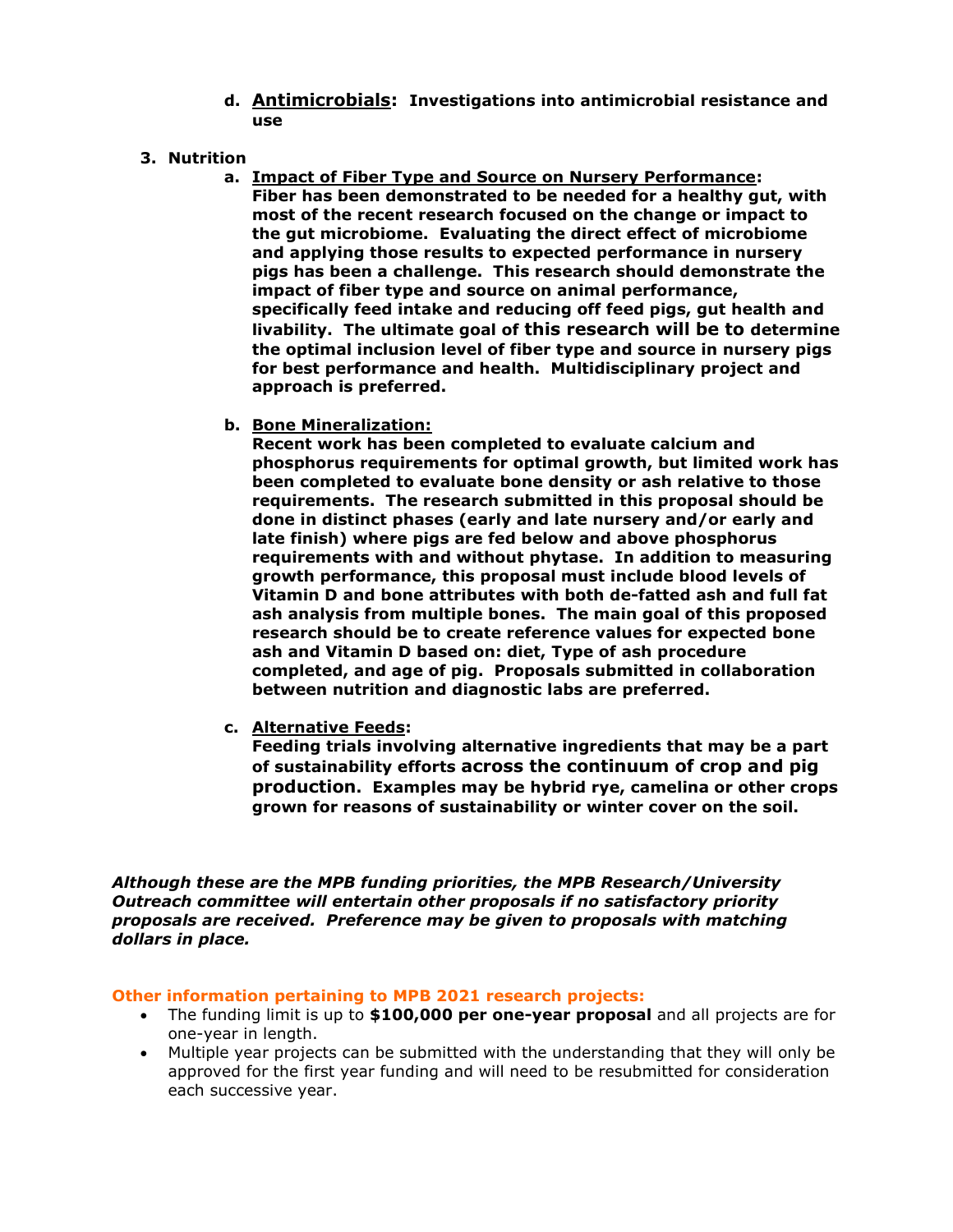- **d. Antimicrobials: Investigations into antimicrobial resistance and use**
- **3. Nutrition** 
	- **a. Impact of Fiber Type and Source on Nursery Performance: Fiber has been demonstrated to be needed for a healthy gut, with most of the recent research focused on the change or impact to the gut microbiome. Evaluating the direct effect of microbiome and applying those results to expected performance in nursery pigs has been a challenge. This research should demonstrate the impact of fiber type and source on animal performance, specifically feed intake and reducing off feed pigs, gut health and livability. The ultimate goal of this research will be to determine the optimal inclusion level of fiber type and source in nursery pigs for best performance and health. Multidisciplinary project and approach is preferred.**
	- **b. Bone Mineralization:**

**Recent work has been completed to evaluate calcium and phosphorus requirements for optimal growth, but limited work has been completed to evaluate bone density or ash relative to those requirements. The research submitted in this proposal should be done in distinct phases (early and late nursery and/or early and late finish) where pigs are fed below and above phosphorus requirements with and without phytase. In addition to measuring growth performance, this proposal must include blood levels of Vitamin D and bone attributes with both de-fatted ash and full fat ash analysis from multiple bones. The main goal of this proposed research should be to create reference values for expected bone ash and Vitamin D based on: diet, Type of ash procedure completed, and age of pig. Proposals submitted in collaboration between nutrition and diagnostic labs are preferred.**

**c. Alternative Feeds:**

**Feeding trials involving alternative ingredients that may be a part of sustainability efforts across the continuum of crop and pig production. Examples may be hybrid rye, camelina or other crops grown for reasons of sustainability or winter cover on the soil.** 

*Although these are the MPB funding priorities, the MPB Research/University Outreach committee will entertain other proposals if no satisfactory priority proposals are received. Preference may be given to proposals with matching dollars in place.*

### **Other information pertaining to MPB 2021 research projects:**

- The funding limit is up to **\$100,000 per one-year proposal** and all projects are for one-year in length.
- Multiple year projects can be submitted with the understanding that they will only be approved for the first year funding and will need to be resubmitted for consideration each successive year.